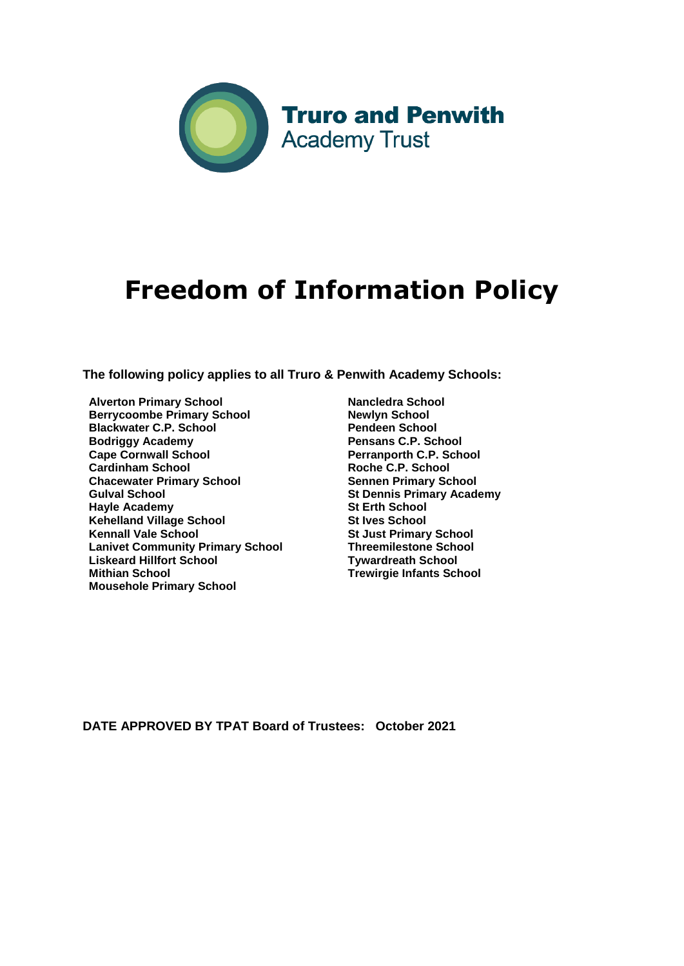

# **Freedom of Information Policy**

**The following policy applies to all Truro & Penwith Academy Schools:** 

- **Alverton Primary School Berrycoombe Primary School Blackwater C.P. School Bodriggy Academy Cape Cornwall School Cardinham School Chacewater Primary School Gulval School Hayle Academy Kehelland Village School Kennall Vale School Lanivet Community Primary School Liskeard Hillfort School Mithian School Mousehole Primary School**
- **Nancledra School Newlyn School Pendeen School Pensans C.P. School Perranporth C.P. School Roche C.P. School Sennen Primary School St Dennis Primary Academy St Erth School St Ives School St Just Primary School Threemilestone School Tywardreath School Trewirgie Infants School**

**DATE APPROVED BY TPAT Board of Trustees: October 2021**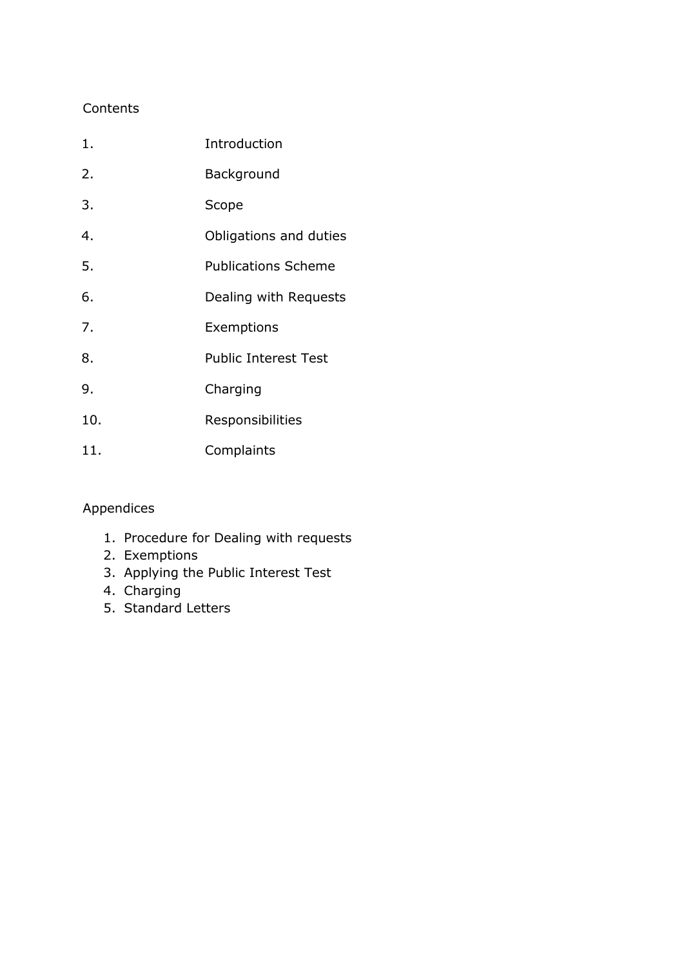## **Contents**

| $1$ . | Introduction                |
|-------|-----------------------------|
| 2.    | Background                  |
| 3.    | Scope                       |
| 4.    | Obligations and duties      |
| 5.    | <b>Publications Scheme</b>  |
| 6.    | Dealing with Requests       |
| 7.    | Exemptions                  |
| 8.    | <b>Public Interest Test</b> |
| 9.    | Charging                    |
| 10.   | Responsibilities            |
| 11.   | Complaints                  |

## Appendices

- 1. Procedure for Dealing with requests
- 2. Exemptions
- 3. Applying the Public Interest Test
- 4. Charging
- 5. Standard Letters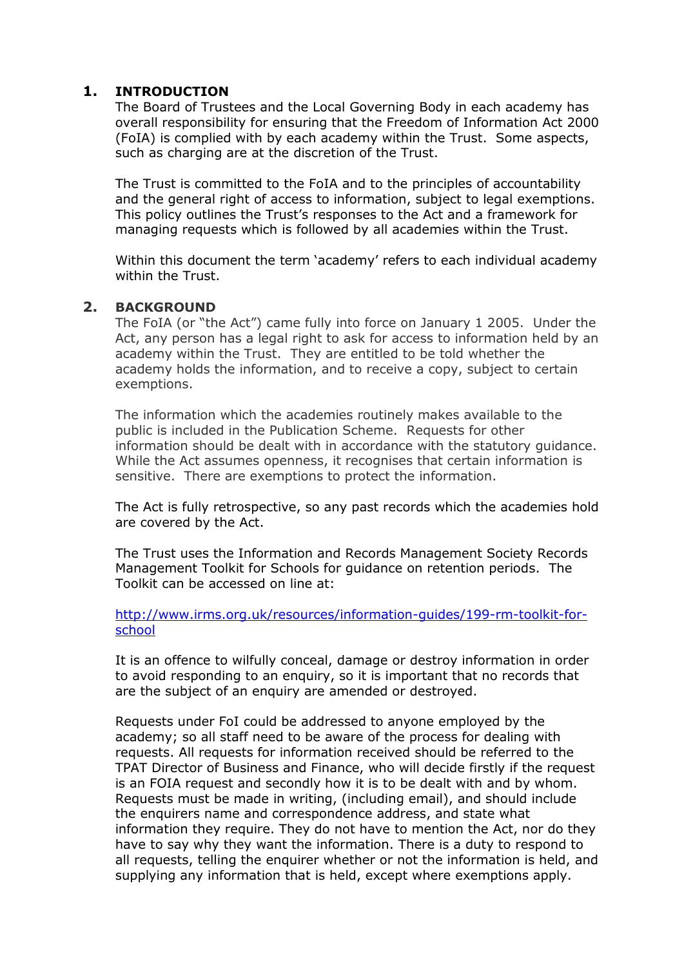#### **1. INTRODUCTION**

The Board of Trustees and the Local Governing Body in each academy has overall responsibility for ensuring that the Freedom of Information Act 2000 (FoIA) is complied with by each academy within the Trust. Some aspects, such as charging are at the discretion of the Trust.

The Trust is committed to the FoIA and to the principles of accountability and the general right of access to information, subject to legal exemptions. This policy outlines the Trust's responses to the Act and a framework for managing requests which is followed by all academies within the Trust.

Within this document the term 'academy' refers to each individual academy within the Trust.

#### **2. BACKGROUND**

The FoIA (or "the Act") came fully into force on January 1 2005. Under the Act, any person has a legal right to ask for access to information held by an academy within the Trust. They are entitled to be told whether the academy holds the information, and to receive a copy, subject to certain exemptions.

The information which the academies routinely makes available to the public is included in the Publication Scheme. Requests for other information should be dealt with in accordance with the statutory guidance. While the Act assumes openness, it recognises that certain information is sensitive. There are exemptions to protect the information.

The Act is fully retrospective, so any past records which the academies hold are covered by the Act.

The Trust uses the Information and Records Management Society Records Management Toolkit for Schools for guidance on retention periods. The Toolkit can be accessed on line at:

[http://www.irms.org.uk/resources/information-guides/199-rm-toolkit-for](mailto:head@kehelland.cornwall.sch.uk)[school](mailto:head@kehelland.cornwall.sch.uk)

It is an offence to wilfully conceal, damage or destroy information in order to avoid responding to an enquiry, so it is important that no records that are the subject of an enquiry are amended or destroyed.

Requests under FoI could be addressed to anyone employed by the academy; so all staff need to be aware of the process for dealing with requests. All requests for information received should be referred to the TPAT Director of Business and Finance, who will decide firstly if the request is an FOIA request and secondly how it is to be dealt with and by whom. Requests must be made in writing, (including email), and should include the enquirers name and correspondence address, and state what information they require. They do not have to mention the Act, nor do they have to say why they want the information. There is a duty to respond to all requests, telling the enquirer whether or not the information is held, and supplying any information that is held, except where exemptions apply.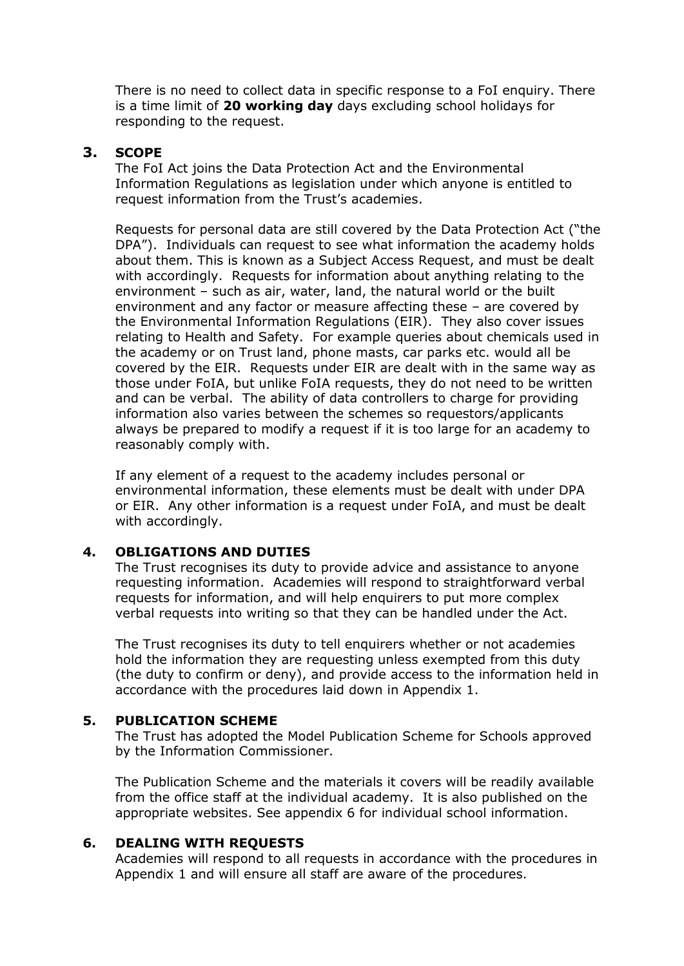There is no need to collect data in specific response to a FoI enquiry. There is a time limit of **20 working day** days excluding school holidays for responding to the request.

#### **3. SCOPE**

The FoI Act joins the Data Protection Act and the Environmental Information Regulations as legislation under which anyone is entitled to request information from the Trust's academies.

Requests for personal data are still covered by the Data Protection Act ("the DPA"). Individuals can request to see what information the academy holds about them. This is known as a Subject Access Request, and must be dealt with accordingly. Requests for information about anything relating to the environment – such as air, water, land, the natural world or the built environment and any factor or measure affecting these – are covered by the Environmental Information Regulations (EIR). They also cover issues relating to Health and Safety. For example queries about chemicals used in the academy or on Trust land, phone masts, car parks etc. would all be covered by the EIR. Requests under EIR are dealt with in the same way as those under FoIA, but unlike FoIA requests, they do not need to be written and can be verbal. The ability of data controllers to charge for providing information also varies between the schemes so requestors/applicants always be prepared to modify a request if it is too large for an academy to reasonably comply with.

If any element of a request to the academy includes personal or environmental information, these elements must be dealt with under DPA or EIR. Any other information is a request under FoIA, and must be dealt with accordingly.

#### **4. OBLIGATIONS AND DUTIES**

The Trust recognises its duty to provide advice and assistance to anyone requesting information. Academies will respond to straightforward verbal requests for information, and will help enquirers to put more complex verbal requests into writing so that they can be handled under the Act.

The Trust recognises its duty to tell enquirers whether or not academies hold the information they are requesting unless exempted from this duty (the duty to confirm or deny), and provide access to the information held in accordance with the procedures laid down in Appendix 1.

#### **5. PUBLICATION SCHEME**

The Trust has adopted the Model Publication Scheme for Schools approved by the Information Commissioner.

The Publication Scheme and the materials it covers will be readily available from the office staff at the individual academy. It is also published on the appropriate websites. See appendix 6 for individual school information.

#### **6. DEALING WITH REQUESTS**

Academies will respond to all requests in accordance with the procedures in Appendix 1 and will ensure all staff are aware of the procedures.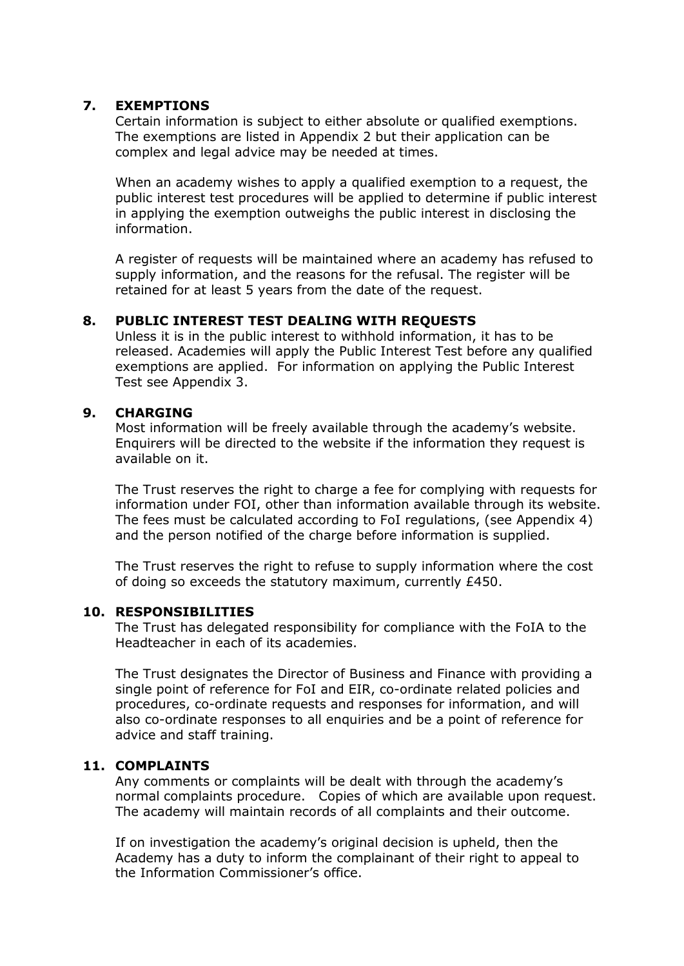#### **7. EXEMPTIONS**

Certain information is subject to either absolute or qualified exemptions. The exemptions are listed in Appendix 2 but their application can be complex and legal advice may be needed at times.

When an academy wishes to apply a qualified exemption to a request, the public interest test procedures will be applied to determine if public interest in applying the exemption outweighs the public interest in disclosing the information.

A register of requests will be maintained where an academy has refused to supply information, and the reasons for the refusal. The register will be retained for at least 5 years from the date of the request.

#### **8. PUBLIC INTEREST TEST DEALING WITH REQUESTS**

Unless it is in the public interest to withhold information, it has to be released. Academies will apply the Public Interest Test before any qualified exemptions are applied. For information on applying the Public Interest Test see Appendix 3.

#### **9. CHARGING**

Most information will be freely available through the academy's website. Enquirers will be directed to the website if the information they request is available on it.

The Trust reserves the right to charge a fee for complying with requests for information under FOI, other than information available through its website. The fees must be calculated according to FoI regulations, (see Appendix 4) and the person notified of the charge before information is supplied.

The Trust reserves the right to refuse to supply information where the cost of doing so exceeds the statutory maximum, currently £450.

#### **10. RESPONSIBILITIES**

The Trust has delegated responsibility for compliance with the FoIA to the Headteacher in each of its academies.

The Trust designates the Director of Business and Finance with providing a single point of reference for FoI and EIR, co-ordinate related policies and procedures, co-ordinate requests and responses for information, and will also co-ordinate responses to all enquiries and be a point of reference for advice and staff training.

#### **11. COMPLAINTS**

Any comments or complaints will be dealt with through the academy's normal complaints procedure. Copies of which are available upon request. The academy will maintain records of all complaints and their outcome.

If on investigation the academy's original decision is upheld, then the Academy has a duty to inform the complainant of their right to appeal to the Information Commissioner's office.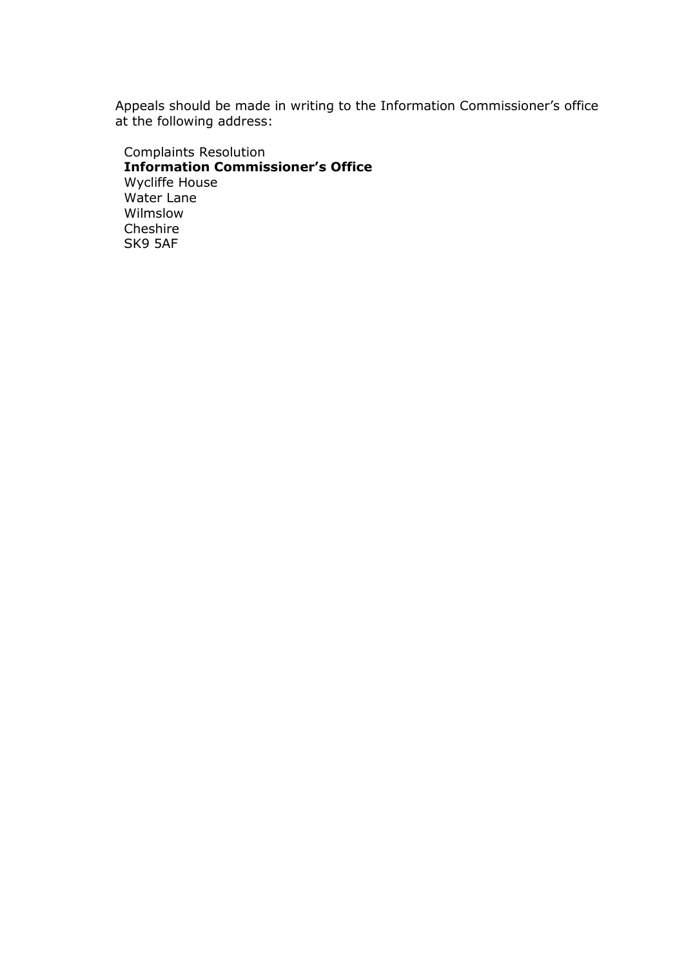Appeals should be made in writing to the Information Commissioner's office at the following address:

Complaints Resolution **Information Commissioner's Office** Wycliffe House Water Lane Wilmslow Cheshire SK9 5AF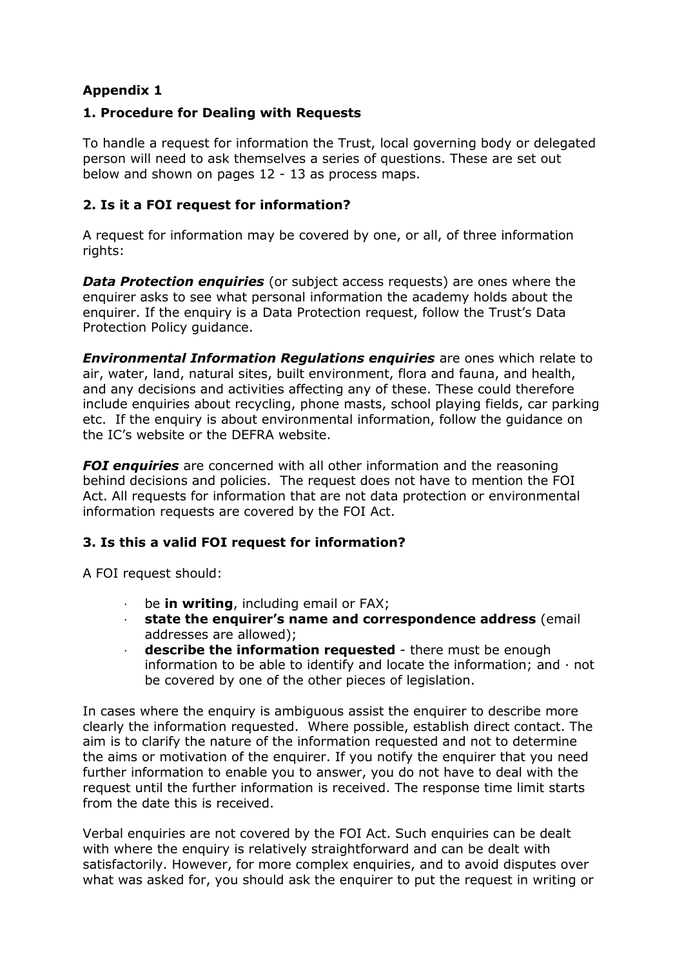## **Appendix 1**

## **1. Procedure for Dealing with Requests**

To handle a request for information the Trust, local governing body or delegated person will need to ask themselves a series of questions. These are set out below and shown on pages 12 - 13 as process maps.

#### **2. Is it a FOI request for information?**

A request for information may be covered by one, or all, of three information rights:

**Data Protection enquiries** (or subject access requests) are ones where the enquirer asks to see what personal information the academy holds about the enquirer. If the enquiry is a Data Protection request, follow the Trust's Data Protection Policy guidance.

*Environmental Information Regulations enquiries* are ones which relate to air, water, land, natural sites, built environment, flora and fauna, and health, and any decisions and activities affecting any of these. These could therefore include enquiries about recycling, phone masts, school playing fields, car parking etc. If the enquiry is about environmental information, follow the guidance on the IC's website or the DEFRA website.

*FOI enquiries* are concerned with all other information and the reasoning behind decisions and policies. The request does not have to mention the FOI Act. All requests for information that are not data protection or environmental information requests are covered by the FOI Act.

## **3. Is this a valid FOI request for information?**

A FOI request should:

- be **in writing**, including email or FAX;
- · **state the enquirer's name and correspondence address** (email addresses are allowed);
- · **describe the information requested**  there must be enough information to be able to identify and locate the information; and  $\cdot$  not be covered by one of the other pieces of legislation.

In cases where the enquiry is ambiguous assist the enquirer to describe more clearly the information requested. Where possible, establish direct contact. The aim is to clarify the nature of the information requested and not to determine the aims or motivation of the enquirer. If you notify the enquirer that you need further information to enable you to answer, you do not have to deal with the request until the further information is received. The response time limit starts from the date this is received.

Verbal enquiries are not covered by the FOI Act. Such enquiries can be dealt with where the enquiry is relatively straightforward and can be dealt with satisfactorily. However, for more complex enquiries, and to avoid disputes over what was asked for, you should ask the enquirer to put the request in writing or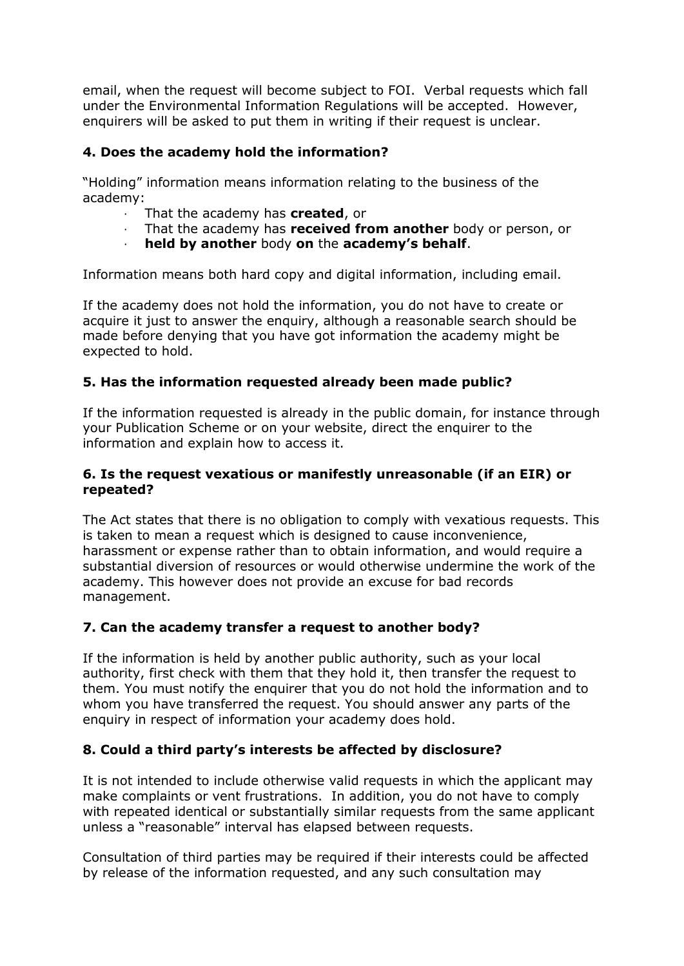email, when the request will become subject to FOI. Verbal requests which fall under the Environmental Information Regulations will be accepted. However, enquirers will be asked to put them in writing if their request is unclear.

## **4. Does the academy hold the information?**

"Holding" information means information relating to the business of the academy:

- · That the academy has **created**, or
- · That the academy has **received from another** body or person, or
- · **held by another** body **on** the **academy's behalf**.

Information means both hard copy and digital information, including email.

If the academy does not hold the information, you do not have to create or acquire it just to answer the enquiry, although a reasonable search should be made before denying that you have got information the academy might be expected to hold.

## **5. Has the information requested already been made public?**

If the information requested is already in the public domain, for instance through your Publication Scheme or on your website, direct the enquirer to the information and explain how to access it.

#### **6. Is the request vexatious or manifestly unreasonable (if an EIR) or repeated?**

The Act states that there is no obligation to comply with vexatious requests. This is taken to mean a request which is designed to cause inconvenience, harassment or expense rather than to obtain information, and would require a substantial diversion of resources or would otherwise undermine the work of the academy. This however does not provide an excuse for bad records management.

## **7. Can the academy transfer a request to another body?**

If the information is held by another public authority, such as your local authority, first check with them that they hold it, then transfer the request to them. You must notify the enquirer that you do not hold the information and to whom you have transferred the request. You should answer any parts of the enquiry in respect of information your academy does hold.

## **8. Could a third party's interests be affected by disclosure?**

It is not intended to include otherwise valid requests in which the applicant may make complaints or vent frustrations. In addition, you do not have to comply with repeated identical or substantially similar requests from the same applicant unless a "reasonable" interval has elapsed between requests.

Consultation of third parties may be required if their interests could be affected by release of the information requested, and any such consultation may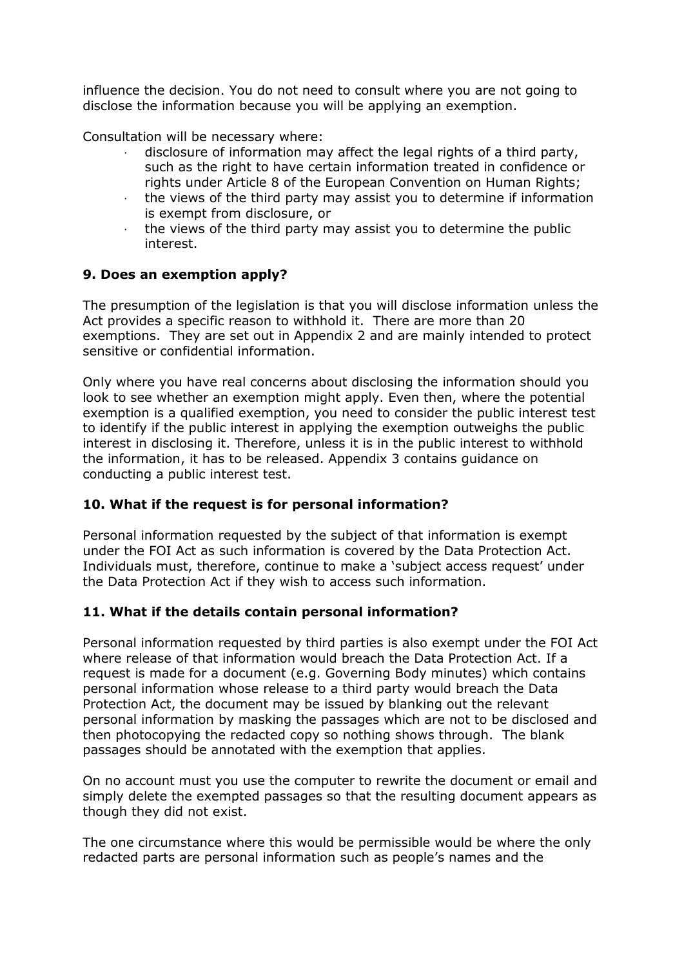influence the decision. You do not need to consult where you are not going to disclose the information because you will be applying an exemption.

Consultation will be necessary where:

- disclosure of information may affect the legal rights of a third party, such as the right to have certain information treated in confidence or rights under Article 8 of the European Convention on Human Rights;
- · the views of the third party may assist you to determine if information is exempt from disclosure, or
- $\cdot$  the views of the third party may assist you to determine the public interest.

#### **9. Does an exemption apply?**

The presumption of the legislation is that you will disclose information unless the Act provides a specific reason to withhold it. There are more than 20 exemptions. They are set out in Appendix 2 and are mainly intended to protect sensitive or confidential information.

Only where you have real concerns about disclosing the information should you look to see whether an exemption might apply. Even then, where the potential exemption is a qualified exemption, you need to consider the public interest test to identify if the public interest in applying the exemption outweighs the public interest in disclosing it. Therefore, unless it is in the public interest to withhold the information, it has to be released. Appendix 3 contains guidance on conducting a public interest test.

#### **10. What if the request is for personal information?**

Personal information requested by the subject of that information is exempt under the FOI Act as such information is covered by the Data Protection Act. Individuals must, therefore, continue to make a 'subject access request' under the Data Protection Act if they wish to access such information.

#### **11. What if the details contain personal information?**

Personal information requested by third parties is also exempt under the FOI Act where release of that information would breach the Data Protection Act. If a request is made for a document (e.g. Governing Body minutes) which contains personal information whose release to a third party would breach the Data Protection Act, the document may be issued by blanking out the relevant personal information by masking the passages which are not to be disclosed and then photocopying the redacted copy so nothing shows through. The blank passages should be annotated with the exemption that applies.

On no account must you use the computer to rewrite the document or email and simply delete the exempted passages so that the resulting document appears as though they did not exist.

The one circumstance where this would be permissible would be where the only redacted parts are personal information such as people's names and the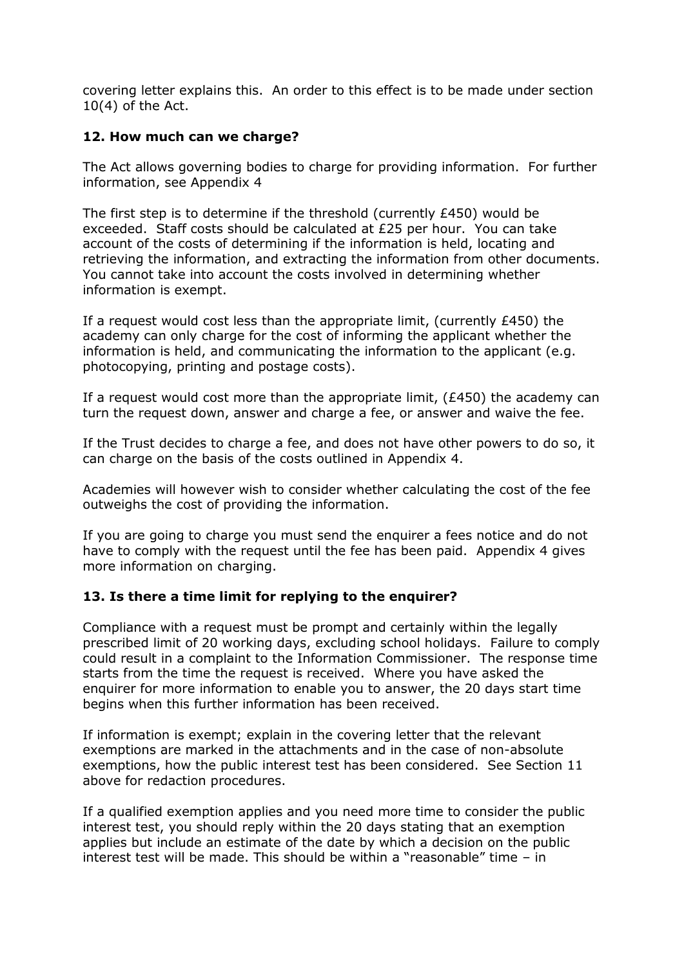covering letter explains this. An order to this effect is to be made under section 10(4) of the Act.

#### **12. How much can we charge?**

The Act allows governing bodies to charge for providing information. For further information, see Appendix 4

The first step is to determine if the threshold (currently £450) would be exceeded. Staff costs should be calculated at £25 per hour. You can take account of the costs of determining if the information is held, locating and retrieving the information, and extracting the information from other documents. You cannot take into account the costs involved in determining whether information is exempt.

If a request would cost less than the appropriate limit, (currently  $£450$ ) the academy can only charge for the cost of informing the applicant whether the information is held, and communicating the information to the applicant (e.g. photocopying, printing and postage costs).

If a request would cost more than the appropriate limit,  $(E450)$  the academy can turn the request down, answer and charge a fee, or answer and waive the fee.

If the Trust decides to charge a fee, and does not have other powers to do so, it can charge on the basis of the costs outlined in Appendix 4.

Academies will however wish to consider whether calculating the cost of the fee outweighs the cost of providing the information.

If you are going to charge you must send the enquirer a fees notice and do not have to comply with the request until the fee has been paid. Appendix 4 gives more information on charging.

#### **13. Is there a time limit for replying to the enquirer?**

Compliance with a request must be prompt and certainly within the legally prescribed limit of 20 working days, excluding school holidays. Failure to comply could result in a complaint to the Information Commissioner. The response time starts from the time the request is received. Where you have asked the enquirer for more information to enable you to answer, the 20 days start time begins when this further information has been received.

If information is exempt; explain in the covering letter that the relevant exemptions are marked in the attachments and in the case of non-absolute exemptions, how the public interest test has been considered. See Section 11 above for redaction procedures.

If a qualified exemption applies and you need more time to consider the public interest test, you should reply within the 20 days stating that an exemption applies but include an estimate of the date by which a decision on the public interest test will be made. This should be within a "reasonable" time – in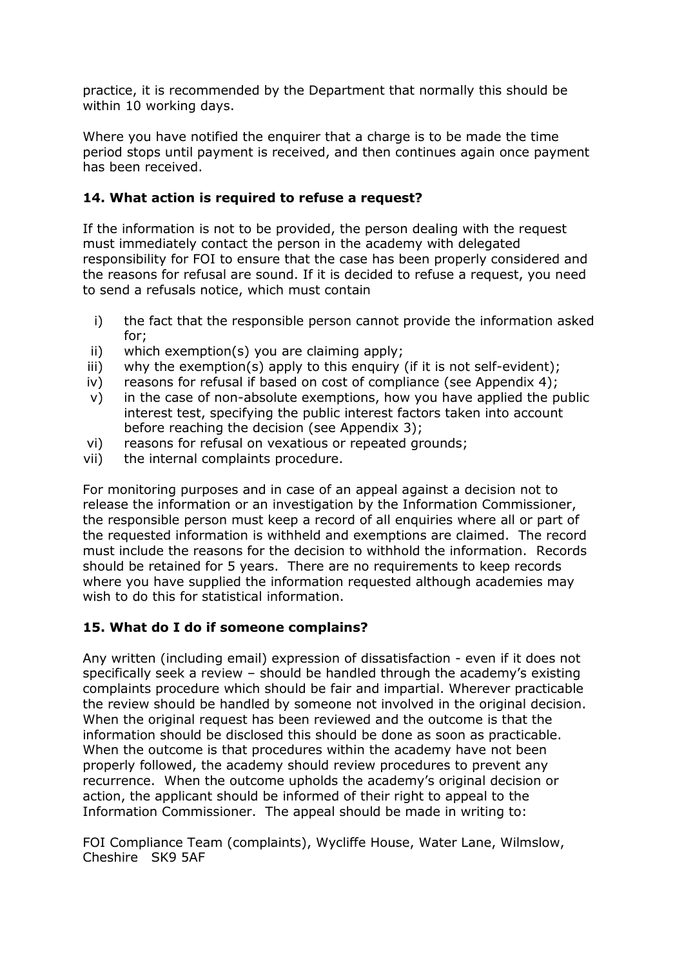practice, it is recommended by the Department that normally this should be within 10 working days.

Where you have notified the enquirer that a charge is to be made the time period stops until payment is received, and then continues again once payment has been received.

## **14. What action is required to refuse a request?**

If the information is not to be provided, the person dealing with the request must immediately contact the person in the academy with delegated responsibility for FOI to ensure that the case has been properly considered and the reasons for refusal are sound. If it is decided to refuse a request, you need to send a refusals notice, which must contain

- i) the fact that the responsible person cannot provide the information asked for;
- ii) which exemption(s) you are claiming apply;
- iii) why the exemption(s) apply to this enquiry (if it is not self-evident);
- iv) reasons for refusal if based on cost of compliance (see Appendix 4);
- v) in the case of non-absolute exemptions, how you have applied the public interest test, specifying the public interest factors taken into account before reaching the decision (see Appendix 3);
- vi) reasons for refusal on vexatious or repeated grounds;
- vii) the internal complaints procedure.

For monitoring purposes and in case of an appeal against a decision not to release the information or an investigation by the Information Commissioner, the responsible person must keep a record of all enquiries where all or part of the requested information is withheld and exemptions are claimed. The record must include the reasons for the decision to withhold the information. Records should be retained for 5 years. There are no requirements to keep records where you have supplied the information requested although academies may wish to do this for statistical information.

## **15. What do I do if someone complains?**

Any written (including email) expression of dissatisfaction - even if it does not specifically seek a review – should be handled through the academy's existing complaints procedure which should be fair and impartial. Wherever practicable the review should be handled by someone not involved in the original decision. When the original request has been reviewed and the outcome is that the information should be disclosed this should be done as soon as practicable. When the outcome is that procedures within the academy have not been properly followed, the academy should review procedures to prevent any recurrence. When the outcome upholds the academy's original decision or action, the applicant should be informed of their right to appeal to the Information Commissioner. The appeal should be made in writing to:

FOI Compliance Team (complaints), Wycliffe House, Water Lane, Wilmslow, Cheshire SK9 5AF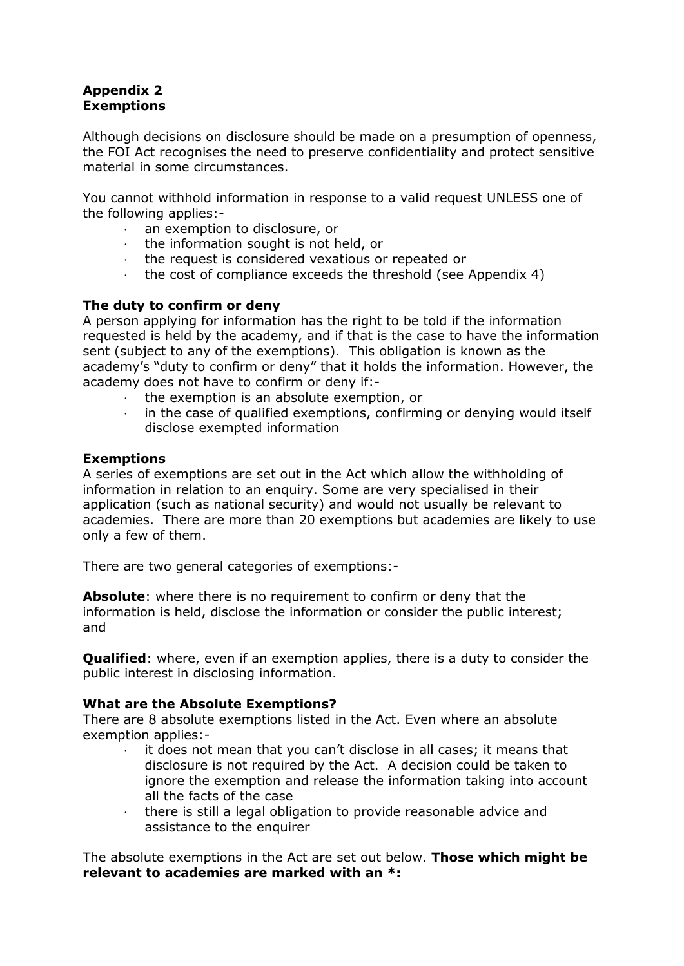## **Appendix 2 Exemptions**

Although decisions on disclosure should be made on a presumption of openness, the FOI Act recognises the need to preserve confidentiality and protect sensitive material in some circumstances.

You cannot withhold information in response to a valid request UNLESS one of the following applies:-

- an exemption to disclosure, or
- · the information sought is not held, or
- · the request is considered vexatious or repeated or
- · the cost of compliance exceeds the threshold (see Appendix 4)

#### **The duty to confirm or deny**

A person applying for information has the right to be told if the information requested is held by the academy, and if that is the case to have the information sent (subject to any of the exemptions). This obligation is known as the academy's "duty to confirm or deny" that it holds the information. However, the academy does not have to confirm or deny if:-

- · the exemption is an absolute exemption, or
- in the case of qualified exemptions, confirming or denying would itself disclose exempted information

#### **Exemptions**

A series of exemptions are set out in the Act which allow the withholding of information in relation to an enquiry. Some are very specialised in their application (such as national security) and would not usually be relevant to academies. There are more than 20 exemptions but academies are likely to use only a few of them.

There are two general categories of exemptions:-

**Absolute**: where there is no requirement to confirm or deny that the information is held, disclose the information or consider the public interest; and

**Qualified**: where, even if an exemption applies, there is a duty to consider the public interest in disclosing information.

#### **What are the Absolute Exemptions?**

There are 8 absolute exemptions listed in the Act. Even where an absolute exemption applies:-

- it does not mean that you can't disclose in all cases; it means that disclosure is not required by the Act. A decision could be taken to ignore the exemption and release the information taking into account all the facts of the case
- · there is still a legal obligation to provide reasonable advice and assistance to the enquirer

The absolute exemptions in the Act are set out below. **Those which might be relevant to academies are marked with an \*:**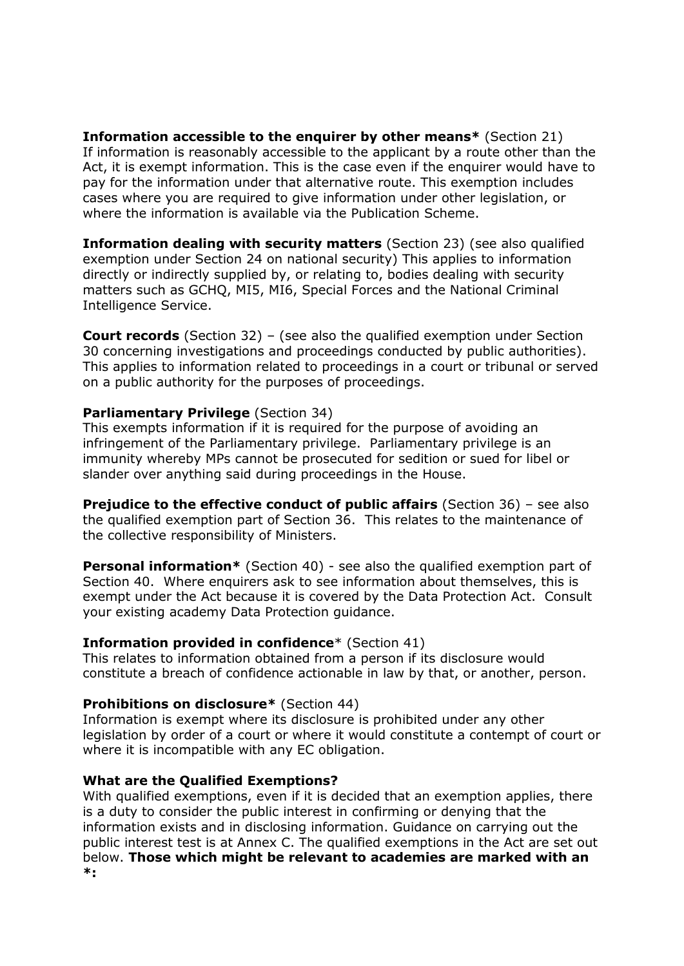**Information accessible to the enquirer by other means\*** (Section 21) If information is reasonably accessible to the applicant by a route other than the Act, it is exempt information. This is the case even if the enquirer would have to pay for the information under that alternative route. This exemption includes cases where you are required to give information under other legislation, or where the information is available via the Publication Scheme.

**Information dealing with security matters** (Section 23) (see also qualified exemption under Section 24 on national security) This applies to information directly or indirectly supplied by, or relating to, bodies dealing with security matters such as GCHQ, MI5, MI6, Special Forces and the National Criminal Intelligence Service.

**Court records** (Section 32) – (see also the qualified exemption under Section 30 concerning investigations and proceedings conducted by public authorities). This applies to information related to proceedings in a court or tribunal or served on a public authority for the purposes of proceedings.

#### **Parliamentary Privilege** (Section 34)

This exempts information if it is required for the purpose of avoiding an infringement of the Parliamentary privilege. Parliamentary privilege is an immunity whereby MPs cannot be prosecuted for sedition or sued for libel or slander over anything said during proceedings in the House.

**Prejudice to the effective conduct of public affairs** (Section 36) – see also the qualified exemption part of Section 36. This relates to the maintenance of the collective responsibility of Ministers.

**Personal information\*** (Section 40) - see also the qualified exemption part of Section 40. Where enquirers ask to see information about themselves, this is exempt under the Act because it is covered by the Data Protection Act. Consult your existing academy Data Protection guidance.

#### **Information provided in confidence**\* (Section 41)

This relates to information obtained from a person if its disclosure would constitute a breach of confidence actionable in law by that, or another, person.

#### **Prohibitions on disclosure\*** (Section 44)

Information is exempt where its disclosure is prohibited under any other legislation by order of a court or where it would constitute a contempt of court or where it is incompatible with any EC obligation.

#### **What are the Qualified Exemptions?**

With qualified exemptions, even if it is decided that an exemption applies, there is a duty to consider the public interest in confirming or denying that the information exists and in disclosing information. Guidance on carrying out the public interest test is at Annex C. The qualified exemptions in the Act are set out below. **Those which might be relevant to academies are marked with an \*:**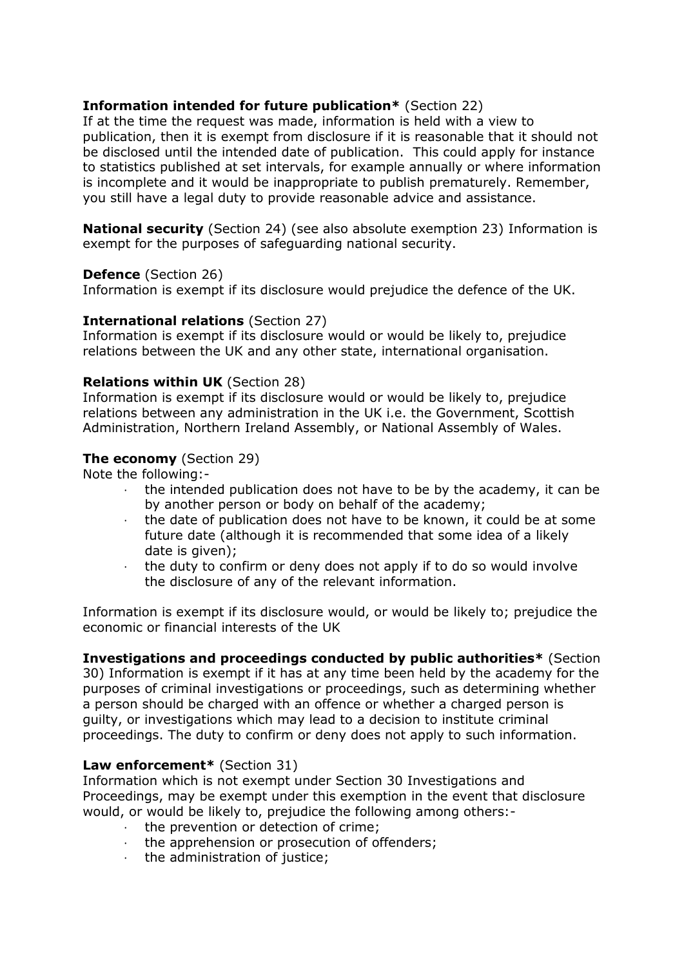#### **Information intended for future publication\*** (Section 22)

If at the time the request was made, information is held with a view to publication, then it is exempt from disclosure if it is reasonable that it should not be disclosed until the intended date of publication. This could apply for instance to statistics published at set intervals, for example annually or where information is incomplete and it would be inappropriate to publish prematurely. Remember, you still have a legal duty to provide reasonable advice and assistance.

**National security** (Section 24) (see also absolute exemption 23) Information is exempt for the purposes of safeguarding national security.

#### **Defence** (Section 26)

Information is exempt if its disclosure would prejudice the defence of the UK.

#### **International relations** (Section 27)

Information is exempt if its disclosure would or would be likely to, prejudice relations between the UK and any other state, international organisation.

#### **Relations within UK** (Section 28)

Information is exempt if its disclosure would or would be likely to, prejudice relations between any administration in the UK i.e. the Government, Scottish Administration, Northern Ireland Assembly, or National Assembly of Wales.

#### **The economy** (Section 29)

Note the following:-

- · the intended publication does not have to be by the academy, it can be by another person or body on behalf of the academy;
- · the date of publication does not have to be known, it could be at some future date (although it is recommended that some idea of a likely date is given);
- the duty to confirm or deny does not apply if to do so would involve the disclosure of any of the relevant information.

Information is exempt if its disclosure would, or would be likely to; prejudice the economic or financial interests of the UK

## **Investigations and proceedings conducted by public authorities\*** (Section

30) Information is exempt if it has at any time been held by the academy for the purposes of criminal investigations or proceedings, such as determining whether a person should be charged with an offence or whether a charged person is guilty, or investigations which may lead to a decision to institute criminal proceedings. The duty to confirm or deny does not apply to such information.

#### **Law enforcement\*** (Section 31)

Information which is not exempt under Section 30 Investigations and Proceedings, may be exempt under this exemption in the event that disclosure would, or would be likely to, prejudice the following among others:-

- · the prevention or detection of crime;
- $\cdot$  the apprehension or prosecution of offenders;<br> $\cdot$  the administration of justice:
- the administration of justice;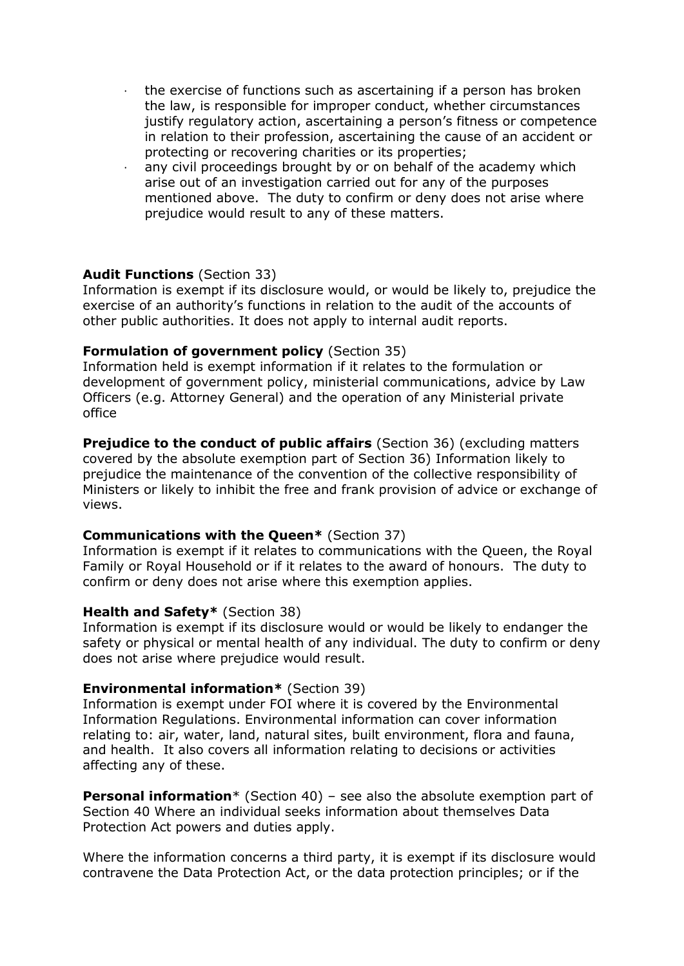- · the exercise of functions such as ascertaining if a person has broken the law, is responsible for improper conduct, whether circumstances justify regulatory action, ascertaining a person's fitness or competence in relation to their profession, ascertaining the cause of an accident or protecting or recovering charities or its properties;
- any civil proceedings brought by or on behalf of the academy which arise out of an investigation carried out for any of the purposes mentioned above. The duty to confirm or deny does not arise where prejudice would result to any of these matters.

#### **Audit Functions** (Section 33)

Information is exempt if its disclosure would, or would be likely to, prejudice the exercise of an authority's functions in relation to the audit of the accounts of other public authorities. It does not apply to internal audit reports.

#### **Formulation of government policy** (Section 35)

Information held is exempt information if it relates to the formulation or development of government policy, ministerial communications, advice by Law Officers (e.g. Attorney General) and the operation of any Ministerial private office

**Prejudice to the conduct of public affairs** (Section 36) (excluding matters covered by the absolute exemption part of Section 36) Information likely to prejudice the maintenance of the convention of the collective responsibility of Ministers or likely to inhibit the free and frank provision of advice or exchange of views.

#### **Communications with the Queen\*** (Section 37)

Information is exempt if it relates to communications with the Queen, the Royal Family or Royal Household or if it relates to the award of honours. The duty to confirm or deny does not arise where this exemption applies.

#### **Health and Safety\*** (Section 38)

Information is exempt if its disclosure would or would be likely to endanger the safety or physical or mental health of any individual. The duty to confirm or deny does not arise where prejudice would result.

#### **Environmental information\*** (Section 39)

Information is exempt under FOI where it is covered by the Environmental Information Regulations. Environmental information can cover information relating to: air, water, land, natural sites, built environment, flora and fauna, and health. It also covers all information relating to decisions or activities affecting any of these.

**Personal information**\* (Section 40) – see also the absolute exemption part of Section 40 Where an individual seeks information about themselves Data Protection Act powers and duties apply.

Where the information concerns a third party, it is exempt if its disclosure would contravene the Data Protection Act, or the data protection principles; or if the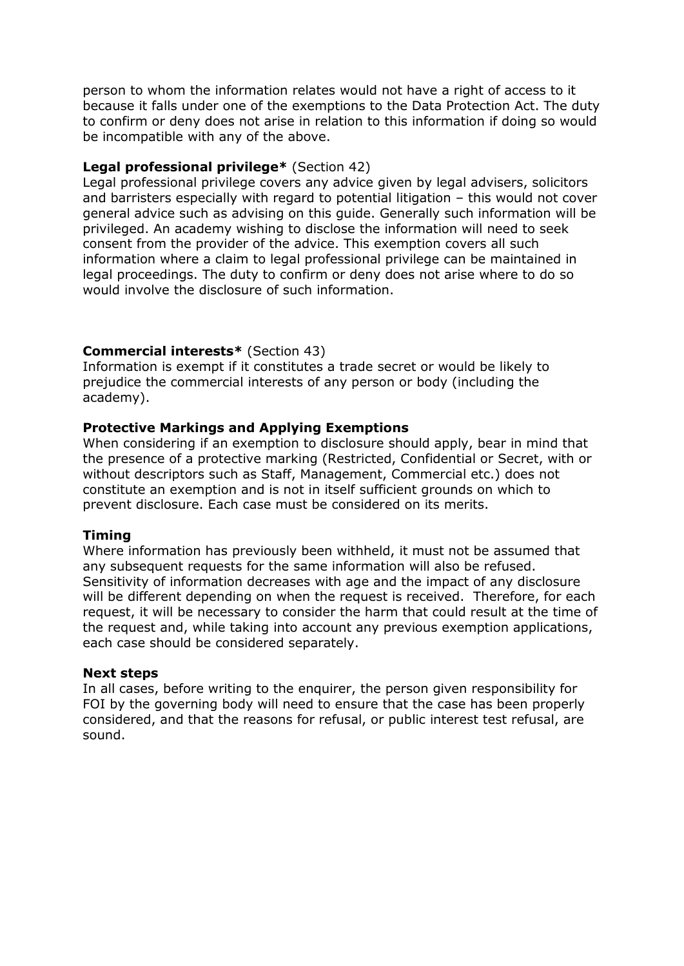person to whom the information relates would not have a right of access to it because it falls under one of the exemptions to the Data Protection Act. The duty to confirm or deny does not arise in relation to this information if doing so would be incompatible with any of the above.

#### **Legal professional privilege\*** (Section 42)

Legal professional privilege covers any advice given by legal advisers, solicitors and barristers especially with regard to potential litigation – this would not cover general advice such as advising on this guide. Generally such information will be privileged. An academy wishing to disclose the information will need to seek consent from the provider of the advice. This exemption covers all such information where a claim to legal professional privilege can be maintained in legal proceedings. The duty to confirm or deny does not arise where to do so would involve the disclosure of such information.

#### **Commercial interests\*** (Section 43)

Information is exempt if it constitutes a trade secret or would be likely to prejudice the commercial interests of any person or body (including the academy).

#### **Protective Markings and Applying Exemptions**

When considering if an exemption to disclosure should apply, bear in mind that the presence of a protective marking (Restricted, Confidential or Secret, with or without descriptors such as Staff, Management, Commercial etc.) does not constitute an exemption and is not in itself sufficient grounds on which to prevent disclosure. Each case must be considered on its merits.

#### **Timing**

Where information has previously been withheld, it must not be assumed that any subsequent requests for the same information will also be refused. Sensitivity of information decreases with age and the impact of any disclosure will be different depending on when the request is received. Therefore, for each request, it will be necessary to consider the harm that could result at the time of the request and, while taking into account any previous exemption applications, each case should be considered separately.

#### **Next steps**

In all cases, before writing to the enquirer, the person given responsibility for FOI by the governing body will need to ensure that the case has been properly considered, and that the reasons for refusal, or public interest test refusal, are sound.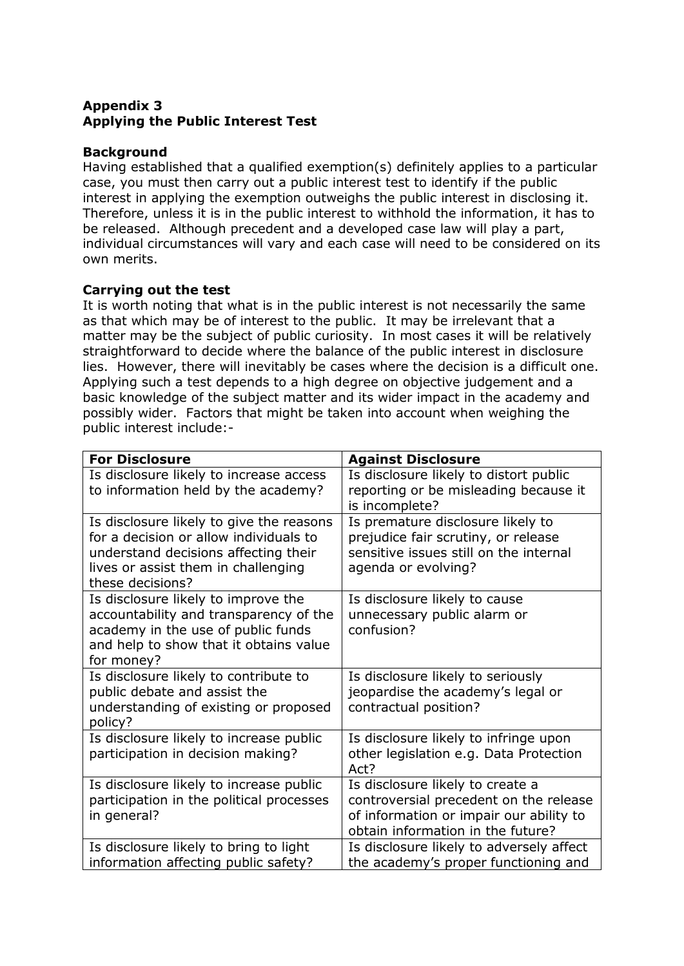## **Appendix 3 Applying the Public Interest Test**

#### **Background**

Having established that a qualified exemption(s) definitely applies to a particular case, you must then carry out a public interest test to identify if the public interest in applying the exemption outweighs the public interest in disclosing it. Therefore, unless it is in the public interest to withhold the information, it has to be released. Although precedent and a developed case law will play a part, individual circumstances will vary and each case will need to be considered on its own merits.

#### **Carrying out the test**

It is worth noting that what is in the public interest is not necessarily the same as that which may be of interest to the public. It may be irrelevant that a matter may be the subject of public curiosity. In most cases it will be relatively straightforward to decide where the balance of the public interest in disclosure lies. However, there will inevitably be cases where the decision is a difficult one. Applying such a test depends to a high degree on objective judgement and a basic knowledge of the subject matter and its wider impact in the academy and possibly wider. Factors that might be taken into account when weighing the public interest include:-

| <b>For Disclosure</b>                                                                                                                                                                 | <b>Against Disclosure</b>                                                                                                                                  |
|---------------------------------------------------------------------------------------------------------------------------------------------------------------------------------------|------------------------------------------------------------------------------------------------------------------------------------------------------------|
| Is disclosure likely to increase access<br>to information held by the academy?                                                                                                        | Is disclosure likely to distort public<br>reporting or be misleading because it<br>is incomplete?                                                          |
| Is disclosure likely to give the reasons<br>for a decision or allow individuals to<br>understand decisions affecting their<br>lives or assist them in challenging<br>these decisions? | Is premature disclosure likely to<br>prejudice fair scrutiny, or release<br>sensitive issues still on the internal<br>agenda or evolving?                  |
| Is disclosure likely to improve the<br>accountability and transparency of the<br>academy in the use of public funds<br>and help to show that it obtains value<br>for money?           | Is disclosure likely to cause<br>unnecessary public alarm or<br>confusion?                                                                                 |
| Is disclosure likely to contribute to<br>public debate and assist the<br>understanding of existing or proposed<br>policy?                                                             | Is disclosure likely to seriously<br>jeopardise the academy's legal or<br>contractual position?                                                            |
| Is disclosure likely to increase public<br>participation in decision making?                                                                                                          | Is disclosure likely to infringe upon<br>other legislation e.g. Data Protection<br>Act?                                                                    |
| Is disclosure likely to increase public<br>participation in the political processes<br>in general?                                                                                    | Is disclosure likely to create a<br>controversial precedent on the release<br>of information or impair our ability to<br>obtain information in the future? |
| Is disclosure likely to bring to light<br>information affecting public safety?                                                                                                        | Is disclosure likely to adversely affect<br>the academy's proper functioning and                                                                           |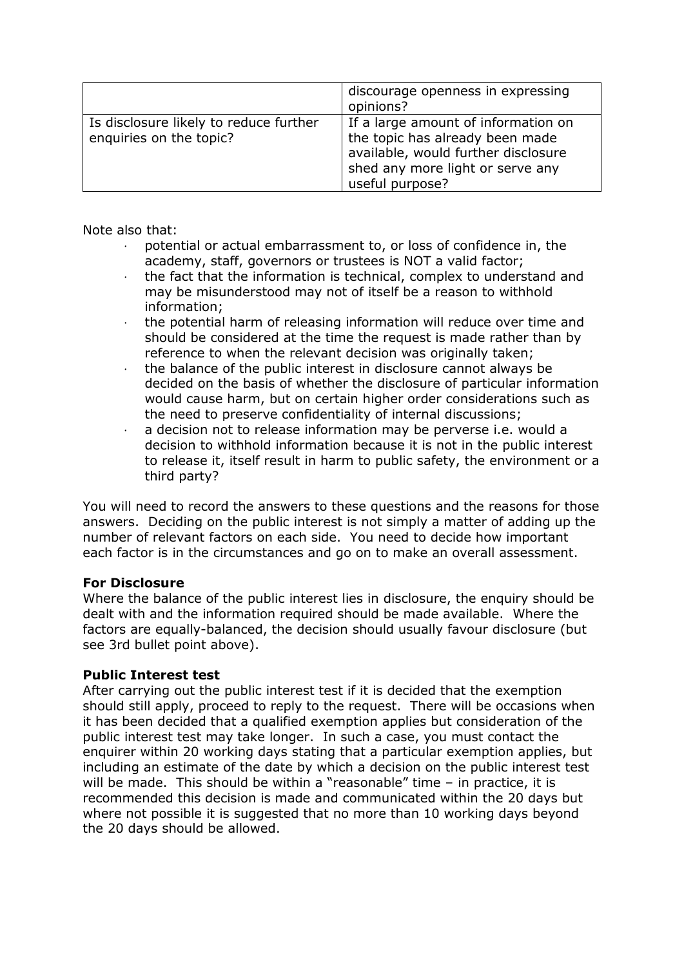|                                                                   | discourage openness in expressing<br>opinions?                                                                                                                       |
|-------------------------------------------------------------------|----------------------------------------------------------------------------------------------------------------------------------------------------------------------|
| Is disclosure likely to reduce further<br>enquiries on the topic? | If a large amount of information on<br>the topic has already been made<br>available, would further disclosure<br>shed any more light or serve any<br>useful purpose? |

Note also that:

- potential or actual embarrassment to, or loss of confidence in, the academy, staff, governors or trustees is NOT a valid factor;
- · the fact that the information is technical, complex to understand and may be misunderstood may not of itself be a reason to withhold information;
- · the potential harm of releasing information will reduce over time and should be considered at the time the request is made rather than by reference to when the relevant decision was originally taken;
- $\cdot$  the balance of the public interest in disclosure cannot always be decided on the basis of whether the disclosure of particular information would cause harm, but on certain higher order considerations such as the need to preserve confidentiality of internal discussions;
- a decision not to release information may be perverse i.e. would a decision to withhold information because it is not in the public interest to release it, itself result in harm to public safety, the environment or a third party?

You will need to record the answers to these questions and the reasons for those answers. Deciding on the public interest is not simply a matter of adding up the number of relevant factors on each side. You need to decide how important each factor is in the circumstances and go on to make an overall assessment.

#### **For Disclosure**

Where the balance of the public interest lies in disclosure, the enquiry should be dealt with and the information required should be made available. Where the factors are equally-balanced, the decision should usually favour disclosure (but see 3rd bullet point above).

#### **Public Interest test**

After carrying out the public interest test if it is decided that the exemption should still apply, proceed to reply to the request. There will be occasions when it has been decided that a qualified exemption applies but consideration of the public interest test may take longer. In such a case, you must contact the enquirer within 20 working days stating that a particular exemption applies, but including an estimate of the date by which a decision on the public interest test will be made. This should be within a "reasonable" time – in practice, it is recommended this decision is made and communicated within the 20 days but where not possible it is suggested that no more than 10 working days beyond the 20 days should be allowed.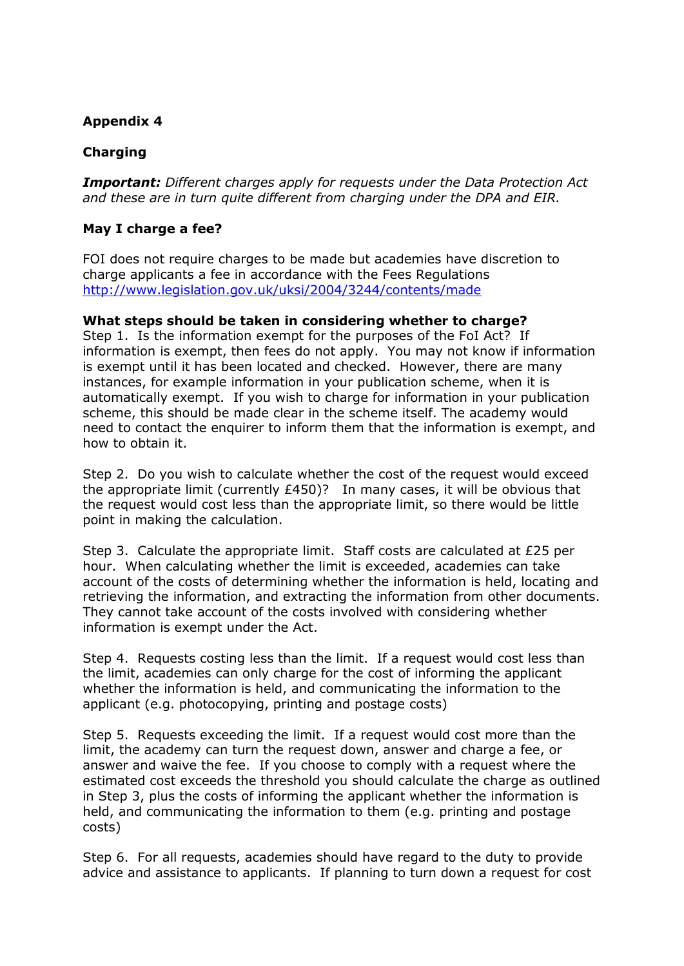## **Appendix 4**

## **Charging**

*Important: Different charges apply for requests under the Data Protection Act and these are in turn quite different from charging under the DPA and EIR.*

#### **May I charge a fee?**

FOI does not require charges to be made but academies have discretion to charge applicants a fee in accordance with the Fees Regulations [http://www.legislation.gov.uk/uksi/2004/3244/contents/made](http://www.nancledra.cornwall.sch.uk/)

#### **What steps should be taken in considering whether to charge?**

Step 1. Is the information exempt for the purposes of the FoI Act? If information is exempt, then fees do not apply. You may not know if information is exempt until it has been located and checked. However, there are many instances, for example information in your publication scheme, when it is automatically exempt. If you wish to charge for information in your publication scheme, this should be made clear in the scheme itself. The academy would need to contact the enquirer to inform them that the information is exempt, and how to obtain it.

Step 2. Do you wish to calculate whether the cost of the request would exceed the appropriate limit (currently £450)? In many cases, it will be obvious that the request would cost less than the appropriate limit, so there would be little point in making the calculation.

Step 3. Calculate the appropriate limit. Staff costs are calculated at £25 per hour. When calculating whether the limit is exceeded, academies can take account of the costs of determining whether the information is held, locating and retrieving the information, and extracting the information from other documents. They cannot take account of the costs involved with considering whether information is exempt under the Act.

Step 4. Requests costing less than the limit. If a request would cost less than the limit, academies can only charge for the cost of informing the applicant whether the information is held, and communicating the information to the applicant (e.g. photocopying, printing and postage costs)

Step 5. Requests exceeding the limit. If a request would cost more than the limit, the academy can turn the request down, answer and charge a fee, or answer and waive the fee. If you choose to comply with a request where the estimated cost exceeds the threshold you should calculate the charge as outlined in Step 3, plus the costs of informing the applicant whether the information is held, and communicating the information to them (e.g. printing and postage costs)

Step 6. For all requests, academies should have regard to the duty to provide advice and assistance to applicants. If planning to turn down a request for cost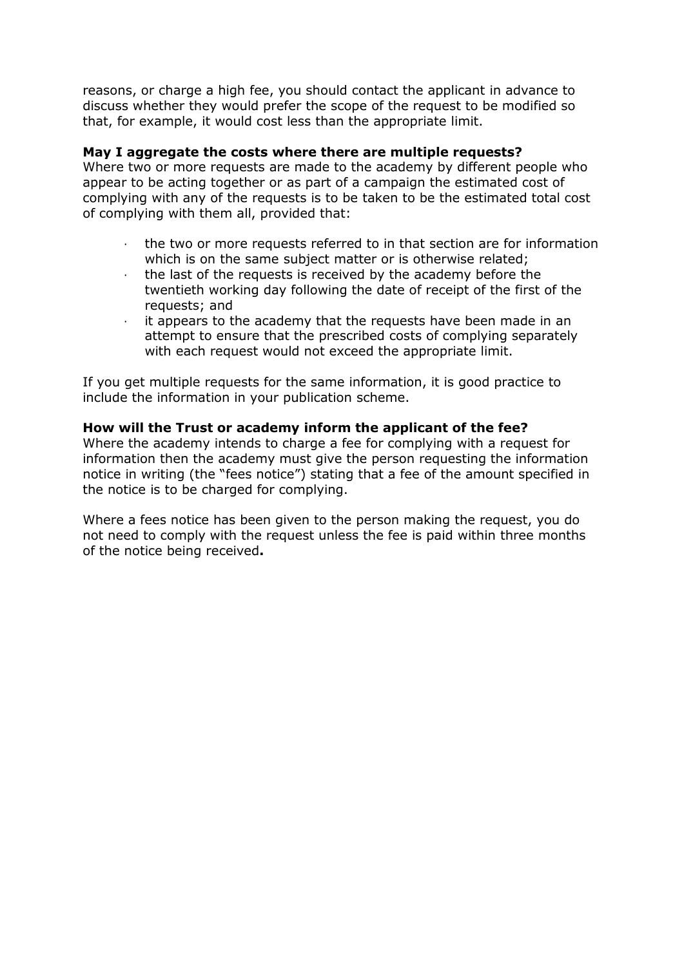reasons, or charge a high fee, you should contact the applicant in advance to discuss whether they would prefer the scope of the request to be modified so that, for example, it would cost less than the appropriate limit.

#### **May I aggregate the costs where there are multiple requests?**

Where two or more requests are made to the academy by different people who appear to be acting together or as part of a campaign the estimated cost of complying with any of the requests is to be taken to be the estimated total cost of complying with them all, provided that:

- the two or more requests referred to in that section are for information which is on the same subject matter or is otherwise related;
- the last of the requests is received by the academy before the twentieth working day following the date of receipt of the first of the requests; and
- · it appears to the academy that the requests have been made in an attempt to ensure that the prescribed costs of complying separately with each request would not exceed the appropriate limit.

If you get multiple requests for the same information, it is good practice to include the information in your publication scheme.

#### **How will the Trust or academy inform the applicant of the fee?**

Where the academy intends to charge a fee for complying with a request for information then the academy must give the person requesting the information notice in writing (the "fees notice") stating that a fee of the amount specified in the notice is to be charged for complying.

Where a fees notice has been given to the person making the request, you do not need to comply with the request unless the fee is paid within three months of the notice being received**.**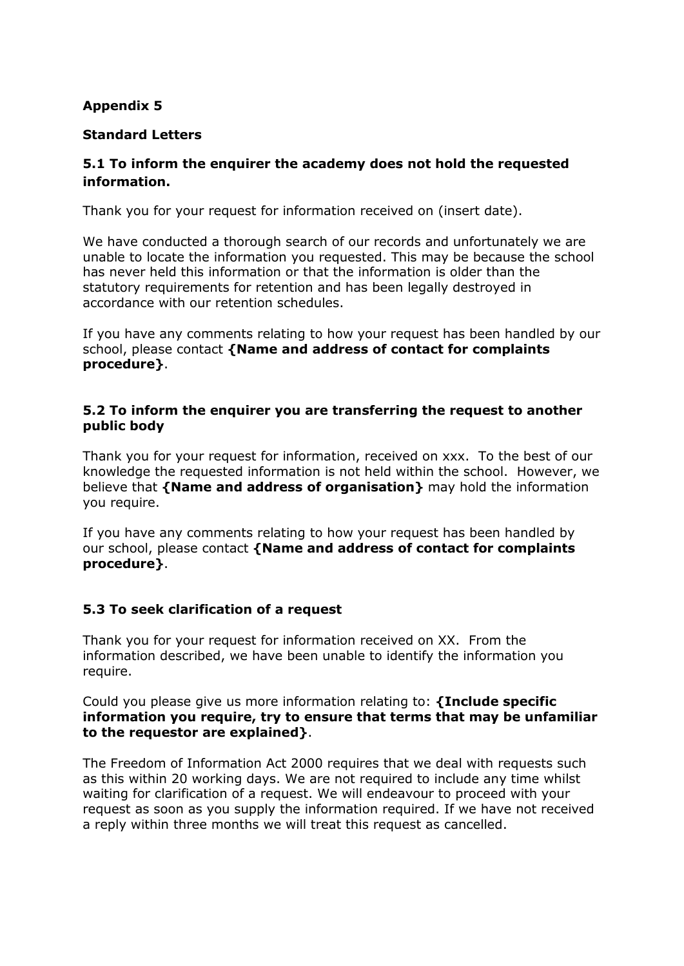## **Appendix 5**

## **Standard Letters**

## **5.1 To inform the enquirer the academy does not hold the requested information.**

Thank you for your request for information received on (insert date).

We have conducted a thorough search of our records and unfortunately we are unable to locate the information you requested. This may be because the school has never held this information or that the information is older than the statutory requirements for retention and has been legally destroyed in accordance with our retention schedules.

If you have any comments relating to how your request has been handled by our school, please contact **{Name and address of contact for complaints procedure}**.

#### **5.2 To inform the enquirer you are transferring the request to another public body**

Thank you for your request for information, received on xxx. To the best of our knowledge the requested information is not held within the school. However, we believe that **{Name and address of organisation}** may hold the information you require.

If you have any comments relating to how your request has been handled by our school, please contact **{Name and address of contact for complaints procedure}**.

#### **5.3 To seek clarification of a request**

Thank you for your request for information received on XX. From the information described, we have been unable to identify the information you require.

Could you please give us more information relating to: **{Include specific information you require, try to ensure that terms that may be unfamiliar to the requestor are explained}**.

The Freedom of Information Act 2000 requires that we deal with requests such as this within 20 working days. We are not required to include any time whilst waiting for clarification of a request. We will endeavour to proceed with your request as soon as you supply the information required. If we have not received a reply within three months we will treat this request as cancelled.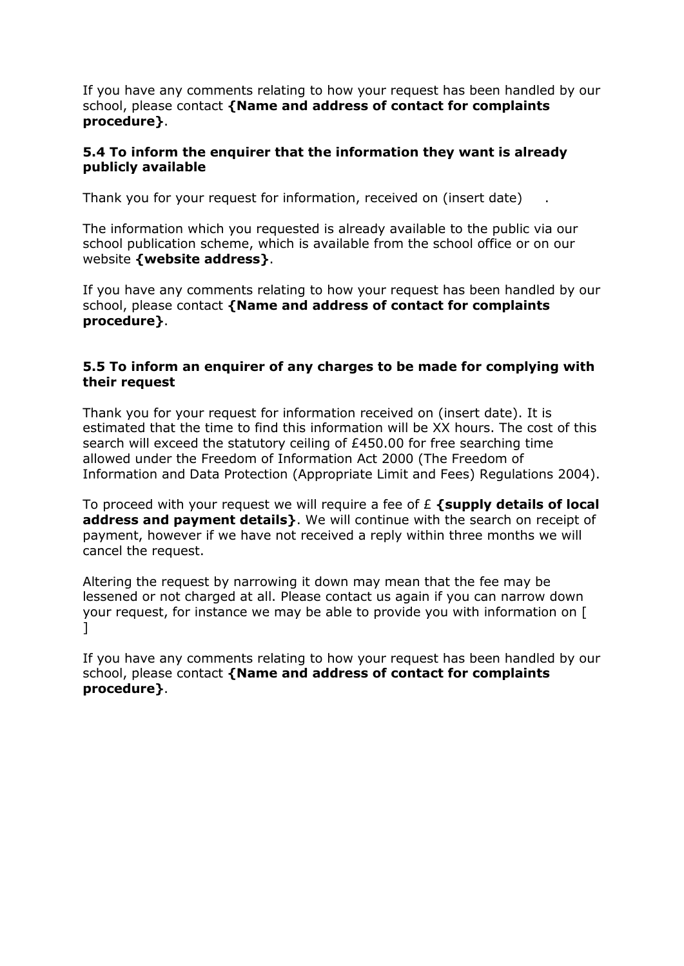If you have any comments relating to how your request has been handled by our school, please contact **{Name and address of contact for complaints procedure}**.

#### **5.4 To inform the enquirer that the information they want is already publicly available**

Thank you for your request for information, received on (insert date) .

The information which you requested is already available to the public via our school publication scheme, which is available from the school office or on our website **{website address}**.

If you have any comments relating to how your request has been handled by our school, please contact **{Name and address of contact for complaints procedure}**.

#### **5.5 To inform an enquirer of any charges to be made for complying with their request**

Thank you for your request for information received on (insert date). It is estimated that the time to find this information will be XX hours. The cost of this search will exceed the statutory ceiling of £450.00 for free searching time allowed under the Freedom of Information Act 2000 (The Freedom of Information and Data Protection (Appropriate Limit and Fees) Regulations 2004).

To proceed with your request we will require a fee of £ **{supply details of local address and payment details}**. We will continue with the search on receipt of payment, however if we have not received a reply within three months we will cancel the request.

Altering the request by narrowing it down may mean that the fee may be lessened or not charged at all. Please contact us again if you can narrow down your request, for instance we may be able to provide you with information on [ ]

If you have any comments relating to how your request has been handled by our school, please contact **{Name and address of contact for complaints procedure}**.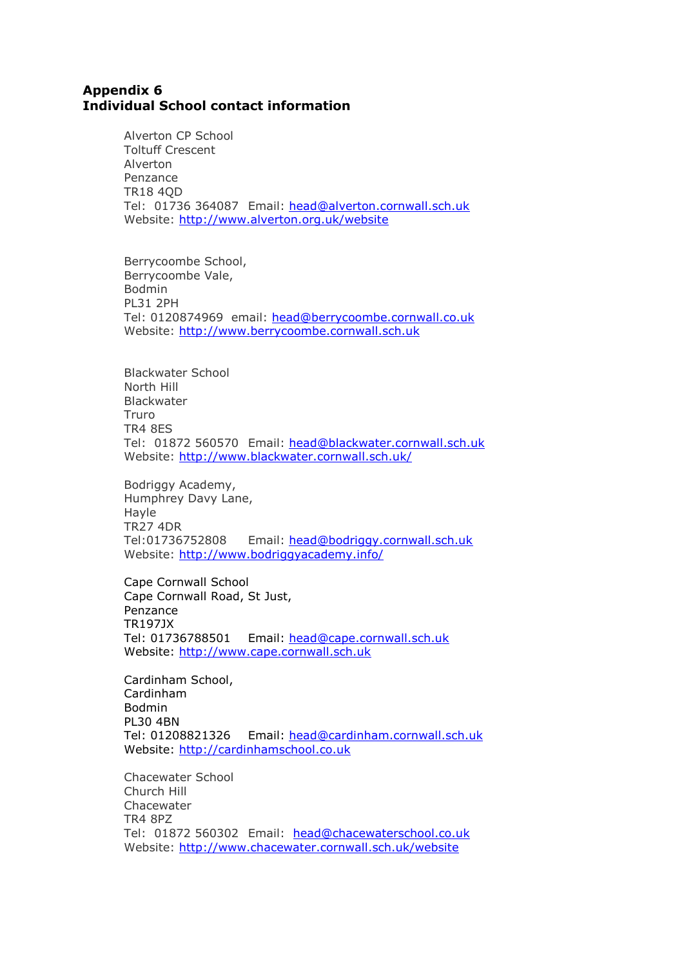#### **Appendix 6 Individual School contact information**

Alverton CP School Toltuff Crescent Alverton Penzance TR18 4QD Tel: 01736 364087 Email: [head@alverton.cornwall.sch.uk](mailto:head@alverton.cornwall.sch.uk) Website: [http://www.alverton.org.uk/website](mailto:head@perranporth.cornwall.sch.uk)

Berrycoombe School, Berrycoombe Vale, Bodmin PL31 2PH Tel: 0120874969 email: [head@berrycoombe.cornwall.co.uk](mailto:head@berrycoombe.cornwall.co.uk) Website: http://www.berrycoombe.cornwall.sch.uk

Blackwater School North Hill Blackwater Truro TR4 8ES Tel: 01872 560570 Email: [head@blackwater.cornwall.sch.uk](mailto:head@blackwater.cornwall.sch.uk) Website: [http://www.blackwater.cornwall.sch.uk/](mailto:head@pendeen.cornwall.sch.uk)

Bodriggy Academy, Humphrey Davy Lane, Hayle TR27 4DR [Tel:01736752808](tel:01736752808) Email: head@bodriggy.cornwall.sch.uk Website:<http://www.bodriggyacademy.info/>

Cape Cornwall School Cape Cornwall Road, St Just, Penzance TR197JX Tel: 01736788501 Email: [head@cape.cornwall.sch.uk](mailto:head@cape.cornwall.sch.uk) Website: [http://www.cape.cornwall.sch.uk](http://www.cape.cornwall.sch.uk/)

Cardinham School, Cardinham Bodmin PL30 4BN Tel: 01208821326 Email: [head@cardinham.cornwall.sch.uk](mailto:head@cardinham.cornwall.sch.uk) Website: http://cardinhamschool.co.uk

Chacewater School Church Hill Chacewater TR4 8PZ Tel: 01872 560302 Email: [head@chacewaterschool.co.uk](mailto:head@chacewaterschool.co.uk) Website:<http://www.chacewater.cornwall.sch.uk/website>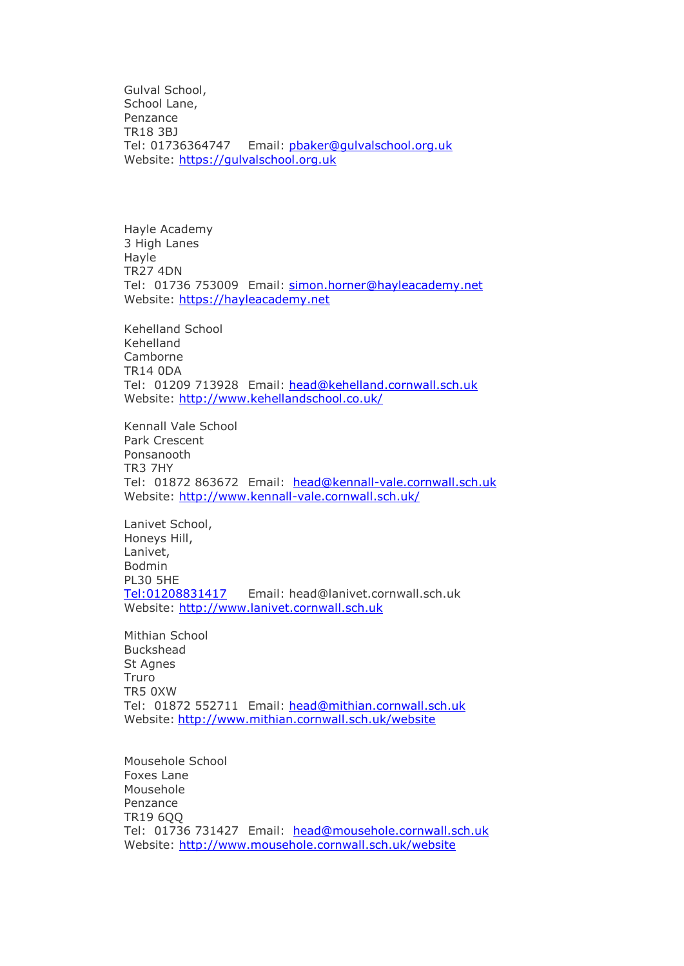Gulval School, School Lane, Penzance TR18 3BJ Tel: 01736364747 Email: [pbaker@gulvalschool.org.uk](mailto:pbaker@gulvalschool.org.uk) Website: https://gulvalschool.org.uk

Hayle Academy 3 High Lanes Hayle TR27 4DN Tel: 01736 753009 Email: [simon.horner@hayleacademy.net](mailto:head@st-erth.cornwall.sch.uk) Website: https://hayleacademy.net

Kehelland School Kehelland Camborne TR14 0DA Tel: 01209 713928 Email: [head@kehelland.cornwall.sch.uk](http://www.legislation.gov.uk/uksi/2004/3244/contents/made) Website: [http://www.kehellandschool.co.uk/](mailto:head@pensans.cornwall.sch.uk)

Kennall Vale School Park Crescent Ponsanooth TR3 7HY Tel: 01872 863672 Email: [head@kennall-vale.cornwall.sch.uk](mailto:head@kennall-vale.cornwall.sch.uk) Website: [http://www.kennall-vale.cornwall.sch.uk/](http://www.st-erth.cornwall.sch.uk/website)

Lanivet School, Honeys Hill, Lanivet, Bodmin PL30 5HE [Tel:01208831417](tel:01208831417) Email: head@lanivet.cornwall.sch.uk Website: http://www.lanivet.cornwall.sch.uk

Mithian School Buckshead St Agnes Truro TR5 0XW Tel: 01872 552711 Email: [head@mithian.cornwall.sch.uk](http://www.kehellandschool.co.uk/) Website: <http://www.mithian.cornwall.sch.uk/website>

Mousehole School Foxes Lane Mousehole Penzance TR19 6QQ Tel: 01736 731427 Email: [head@mousehole.cornwall.sch.uk](http://www.stjustprimary.org.uk/) Website:<http://www.mousehole.cornwall.sch.uk/website>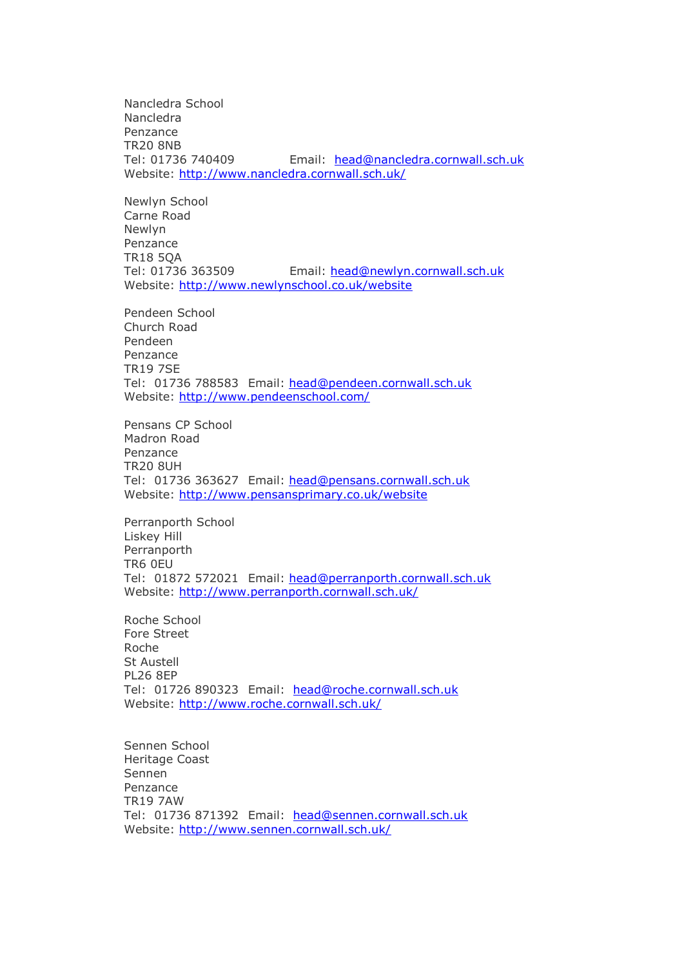Nancledra School **Nancledra** Penzance TR20 8NB Tel: 01736 740409 Email: [head@nancledra.cornwall.sch.uk](http://www.irms.org.uk/resources/information-guides/199-rm-toolkit-for-school) Website: [http://www.nancledra.cornwall.sch.uk/](mailto:head@stdennis.academy)

Newlyn School Carne Road Newlyn Penzance TR18 5QA Tel: 01736 363509 Email: [head@newlyn.cornwall.sch.uk](mailto:head@newlyn.cornwall.sch.uk) Website: [http://www.newlynschool.co.uk/website](http://www.blackwater.cornwall.sch.uk/)

Pendeen School Church Road Pendeen Penzance TR19 7SE Tel: 01736 788583 Email: [head@pendeen.cornwall.sch.uk](http://www.perranporth.cornwall.sch.uk/)  Website:<http://www.pendeenschool.com/>

Pensans CP School Madron Road Penzance TR20 8UH Tel: 01736 363627 Email: [head@pensans.cornwall.sch.uk](http://www.alverton.org.uk/website) Website:<http://www.pensansprimary.co.uk/website>

Perranporth School Liskey Hill Perranporth TR6 0EU Tel: 01872 572021 Email: [head@perranporth.cornwall.sch.uk](http://www.kennall-vale.cornwall.sch.uk/) Website: [http://www.perranporth.cornwall.sch.uk/](mailto:head@chacewater.cornwall.sch.uk)

Roche School Fore Street Roche St Austell PL26 8EP Tel: 01726 890323 Email: [head@roche.cornwall.sch.uk](mailto:head@roche.cornwall.sch.uk) Website: [http://www.roche.cornwall.sch.uk/](mailto:Andrew.Martin@hayleacademy.net)

Sennen School Heritage Coast Sennen Penzance TR19 7AW Tel: 01736 871392 Email: [head@sennen.cornwall.sch.uk](mailto:head@sennen.cornwall.sch.uk) Website:<http://www.sennen.cornwall.sch.uk/>